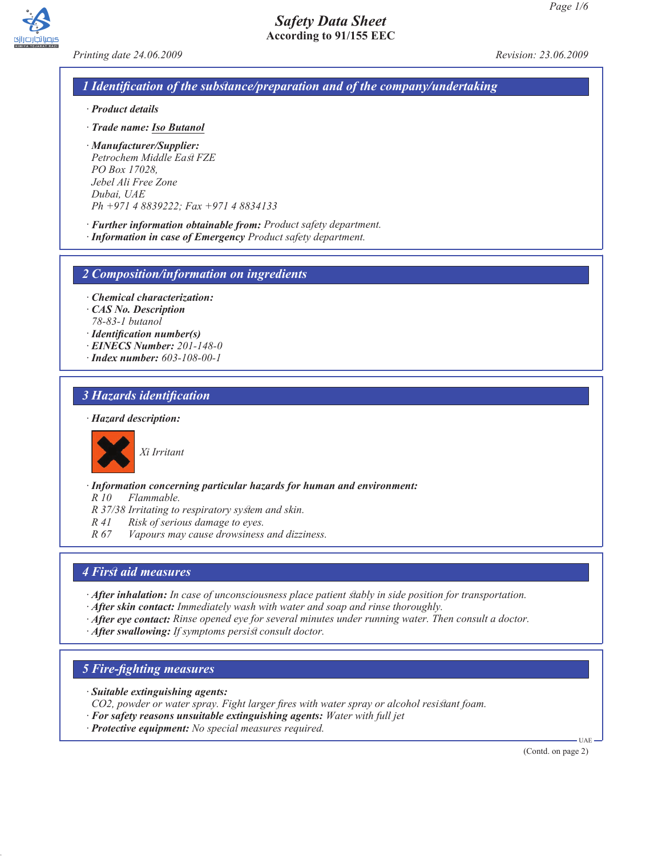*Printing date 24.06.2009 Revision: 23.06.2009*

## *1 Identification of the substance/preparation and of the company/undertaking*

- *· Product details*
- *· Trade name: Iso Butanol*
- *· Manufacturer/Supplier: Petrochem Middle East FZE PO Box 17028, Jebel Ali Free Zone Dubai, UAE Ph +971 4 8839222; Fax +971 4 8834133*
- *· Further information obtainable from: Product safety department.*
- *· Information in case of Emergency Product safety department.*

*2 Composition/information on ingredients*

- *· Chemical characterization:*
- *· CAS No. Description*
- *78-83-1 butanol*
- *· Identification number(s)*
- *· EINECS Number: 201-148-0*
- *· Index number: 603-108-00-1*

## *3 Hazards identification*

#### *· Hazard description:*



*Xi Irritant*

*· Information concerning particular hazards for human and environment:*

*R 10 Flammable.*

- *R 37/38 Irritating to respiratory system and skin.*
- *R 41 Risk of serious damage to eyes.*
- *R 67 Vapours may cause drowsiness and dizziness.*

### *4 First aid measures*

*· After inhalation: In case of unconsciousness place patient stably in side position for transportation.*

*· After skin contact: Immediately wash with water and soap and rinse thoroughly.*

- *· After eye contact: Rinse opened eye for several minutes under running water. Then consult a doctor.*
- *· After swallowing: If symptoms persist consult doctor.*

### *5 Fire-fighting measures*

*· Suitable extinguishing agents:*

*CO2, powder or water spray. Fight larger fires with water spray or alcohol resistant foam.*

- *· For safety reasons unsuitable extinguishing agents: Water with full jet*
- *· Protective equipment: No special measures required.*

(Contd. on page 2)

UAE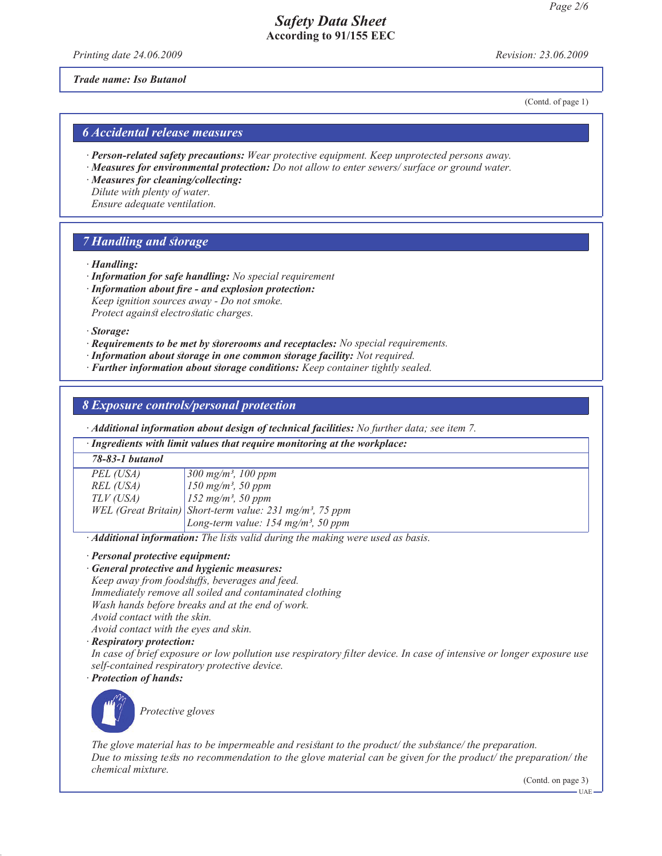*Printing date 24.06.2009 Revision: 23.06.2009*

*Trade name: Iso Butanol*

(Contd. of page 1)

### *6 Accidental release measures*

- *· Person-related safety precautions: Wear protective equipment. Keep unprotected persons away.*
- *· Measures for environmental protection: Do not allow to enter sewers/ surface or ground water.*
- *· Measures for cleaning/collecting: Dilute with plenty of water. Ensure adequate ventilation.*

### *7 Handling and storage*

- *· Handling:*
- *· Information for safe handling: No special requirement*
- *· Information about fire and explosion protection: Keep ignition sources away - Do not smoke.*

*Protect against electrostatic charges.*

*· Storage:*

- *· Requirements to be met by storerooms and receptacles: No special requirements.*
- *· Information about storage in one common storage facility: Not required.*
- *· Further information about storage conditions: Keep container tightly sealed.*

### *8 Exposure controls/personal protection*

*· Additional information about design of technical facilities: No further data; see item 7.*

| · Ingredients with limit values that require monitoring at the workplace: |                                                                      |  |
|---------------------------------------------------------------------------|----------------------------------------------------------------------|--|
| 78-83-1 butanol                                                           |                                                                      |  |
| PEL (USA)                                                                 | $300 \; mg/m^3$ , 100 ppm                                            |  |
| REL (USA)                                                                 | $150$ mg/m <sup>3</sup> , 50 ppm                                     |  |
| TLV (USA)                                                                 | $152 \; mg/m^3$ , 50 ppm                                             |  |
|                                                                           | WEL (Great Britain) Short-term value: 231 mg/m <sup>3</sup> , 75 ppm |  |
|                                                                           | Long-term value: $154$ mg/m <sup>3</sup> , 50 ppm                    |  |

*· Additional information: The lists valid during the making were used as basis.*

*· Personal protective equipment:*

- *· General protective and hygienic measures:*
- *Keep away from foodstuffs, beverages and feed. Immediately remove all soiled and contaminated clothing Wash hands before breaks and at the end of work. Avoid contact with the skin.*

*Avoid contact with the eyes and skin.*

*· Respiratory protection:*

*In case of brief exposure or low pollution use respiratory filter device. In case of intensive or longer exposure use self-contained respiratory protective device. · Protection of hands:*



*Protective gloves*

*The glove material has to be impermeable and resistant to the product/ the substance/ the preparation. Due to missing tests no recommendation to the glove material can be given for the product/ the preparation/ the chemical mixture.*

(Contd. on page 3)

UAE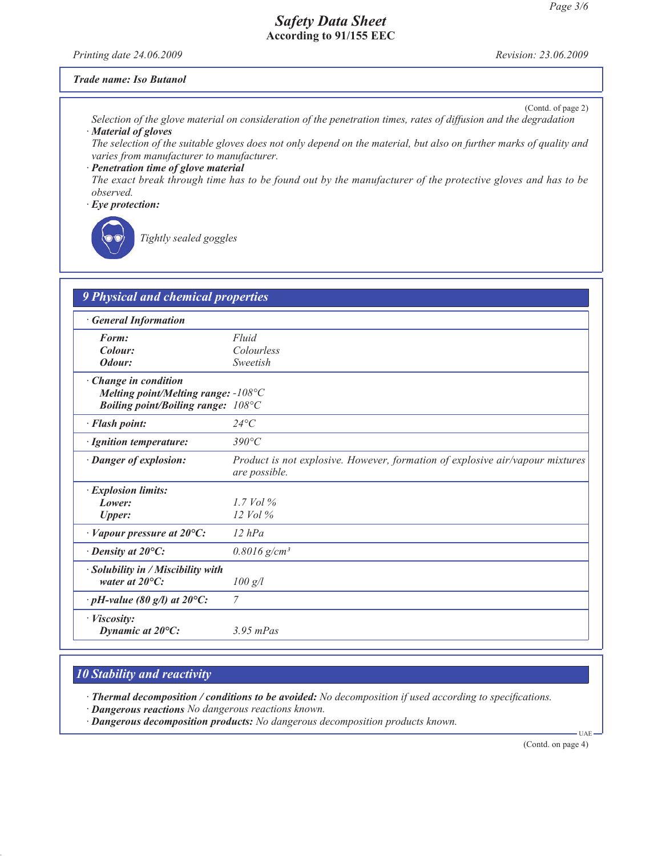*Printing date 24.06.2009 Revision: 23.06.2009*

#### *Trade name: Iso Butanol*

(Contd. of page 2)

*Selection of the glove material on consideration of the penetration times, rates of diffusion and the degradation · Material of gloves*

*The selection of the suitable gloves does not only depend on the material, but also on further marks of quality and varies from manufacturer to manufacturer.*

*· Penetration time of glove material The exact break through time has to be found out by the manufacturer of the protective gloves and has to be observed.*

*· Eye protection:*



*Tightly sealed goggles*

| <b>9 Physical and chemical properties</b>                                                                          |                                                                                                |  |
|--------------------------------------------------------------------------------------------------------------------|------------------------------------------------------------------------------------------------|--|
| <b>General Information</b>                                                                                         |                                                                                                |  |
| Form:<br>Colour:                                                                                                   | Fluid<br>Colourless                                                                            |  |
| Odour:                                                                                                             | Sweetish                                                                                       |  |
| · Change in condition<br>Melting point/Melting range: $-108^{\circ}C$<br><b>Boiling point/Boiling range: 108°C</b> |                                                                                                |  |
| · Flash point:                                                                                                     | $24^{\circ}C$                                                                                  |  |
| · Ignition temperature:                                                                                            | $390^{\circ}C$                                                                                 |  |
| · Danger of explosion:                                                                                             | Product is not explosive. However, formation of explosive air/vapour mixtures<br>are possible. |  |
| · Explosion limits:<br>Lower:<br><b>Upper:</b>                                                                     | 1.7 Vol $\%$<br>$12$ Vol $\%$                                                                  |  |
| $\cdot$ Vapour pressure at 20 $\degree$ C:                                                                         | $12$ hPa                                                                                       |  |
| $\cdot$ Density at 20 $\mathrm{^{\circ}C:}$                                                                        | $0.8016$ g/cm <sup>3</sup>                                                                     |  |
| · Solubility in / Miscibility with<br>water at $20^{\circ}$ C:                                                     | $100 \text{ g/l}$                                                                              |  |
| $\cdot$ pH-value (80 g/l) at 20 $\degree$ C:                                                                       | 7                                                                                              |  |
| · Viscosity:<br>Dynamic at $20^{\circ}$ C:                                                                         | $3.95$ mPas                                                                                    |  |

# *10 Stability and reactivity*

*· Thermal decomposition / conditions to be avoided: No decomposition if used according to specifications.*

- *· Dangerous reactions No dangerous reactions known.*
- *· Dangerous decomposition products: No dangerous decomposition products known.*

(Contd. on page 4)

UAE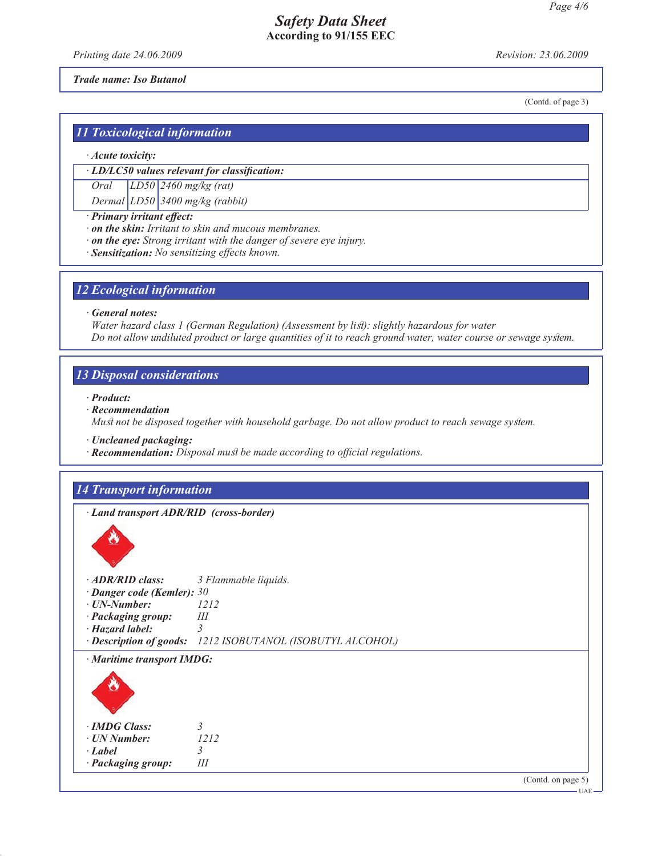*Printing date 24.06.2009 Revision: 23.06.2009*

#### *Trade name: Iso Butanol*

(Contd. of page 3)

## *11 Toxicological information*

#### *· Acute toxicity:*

*· LD/LC50 values relevant for classification:*

*Oral LD50 2460 mg/kg (rat)*

*Dermal LD50 3400 mg/kg (rabbit)*

- *· Primary irritant effect:*
- *· on the skin: Irritant to skin and mucous membranes.*
- *· on the eye: Strong irritant with the danger of severe eye injury.*
- *· Sensitization: No sensitizing effects known.*

#### *12 Ecological information*

*· General notes:*

*Water hazard class 1 (German Regulation) (Assessment by list): slightly hazardous for water Do not allow undiluted product or large quantities of it to reach ground water, water course or sewage system.*

# *13 Disposal considerations*

*· Product:*

*· Recommendation*

*Must not be disposed together with household garbage. Do not allow product to reach sewage system.*

*· Uncleaned packaging:*

*· Recommendation: Disposal must be made according to official regulations.*

### *14 Transport information*

*· Land transport ADR/RID (cross-border)*



| $\cdot$ ADR/RID class:           | 3 Flammable liquids.                                       |
|----------------------------------|------------------------------------------------------------|
| $\cdot$ Danger code (Kemler): 30 |                                                            |
| · UN-Number:                     | 1212                                                       |
| · Packaging group:               | Ш                                                          |
| $\cdot$ Hazard label:            | 3                                                          |
|                                  | · Description of goods: 1212 ISOBUTANOL (ISOBUTYL ALCOHOL) |
| · Maritime transport IMDG:       |                                                            |
| ö                                |                                                            |
| · <b>IMDG</b> Class:             | 3                                                          |
| · UN Number:                     | 1212                                                       |
| $\cdot$ Label                    | 3                                                          |
| · Packaging group:               | Ш                                                          |
|                                  | (Cond. on page 5)                                          |

UAE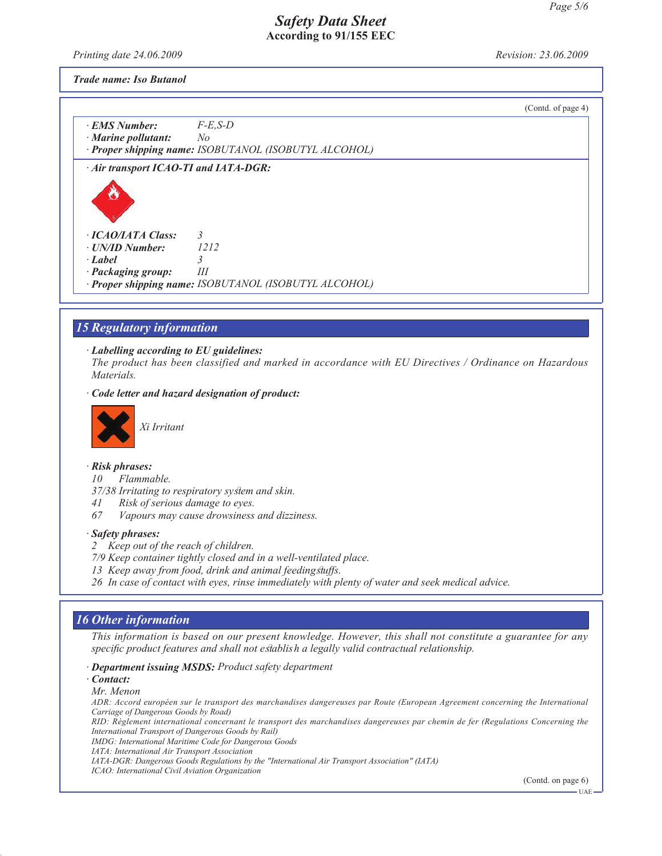*Printing date 24.06.2009 Revision: 23.06.2009*

*Trade name: Iso Butanol*

|                                       |                                                       | (Contd. of page 4) |
|---------------------------------------|-------------------------------------------------------|--------------------|
| · EMS Number:                         | $F-E$ , S-D                                           |                    |
| $\cdot$ Marine pollutant:             | No                                                    |                    |
|                                       | · Proper shipping name: ISOBUTANOL (ISOBUTYL ALCOHOL) |                    |
| · Air transport ICAO-TI and IATA-DGR: |                                                       |                    |
|                                       |                                                       |                    |
| $\cdot$ ICAO/IATA Class:              | 3                                                     |                    |
| · UN/ID Number:                       | 1212                                                  |                    |
| $\cdot$ Label                         | 3                                                     |                    |
| · Packaging group:                    | Ш                                                     |                    |
|                                       | · Proper shipping name: ISOBUTANOL (ISOBUTYL ALCOHOL) |                    |

# *15 Regulatory information*

#### *· Labelling according to EU guidelines:*

*The product has been classified and marked in accordance with EU Directives / Ordinance on Hazardous Materials.*

#### *· Code letter and hazard designation of product:*



*Xi Irritant*

#### *· Risk phrases:*

- *10 Flammable.*
- *37/38 Irritating to respiratory system and skin.*
- *41 Risk of serious damage to eyes.*
- *67 Vapours may cause drowsiness and dizziness.*

#### *· Safety phrases:*

- *2 Keep out of the reach of children.*
- *7/9 Keep container tightly closed and in a well-ventilated place.*
- *13 Keep away from food, drink and animal feedingstuffs.*
- *26 In case of contact with eyes, rinse immediately with plenty of water and seek medical advice.*

### *16 Other information*

*This information is based on our present knowledge. However, this shall not constitute a guarantee for any specific product features and shall not establish a legally valid contractual relationship.*

#### *· Department issuing MSDS: Product safety department*

*· Contact:*

#### *Mr. Menon*

*ADR: Accord européen sur le transport des marchandises dangereuses par Route (European Agreement concerning the International Carriage of Dangerous Goods by Road)*

*RID: Règlement international concernant le transport des marchandises dangereuses par chemin de fer (Regulations Concerning the International Transport of Dangerous Goods by Rail)*

*IMDG: International Maritime Code for Dangerous Goods*

*IATA: International Air Transport Association*

*IATA-DGR: Dangerous Goods Regulations by the "International Air Transport Association" (IATA)*

*ICAO: International Civil Aviation Organization*

(Contd. on page 6)

UAE